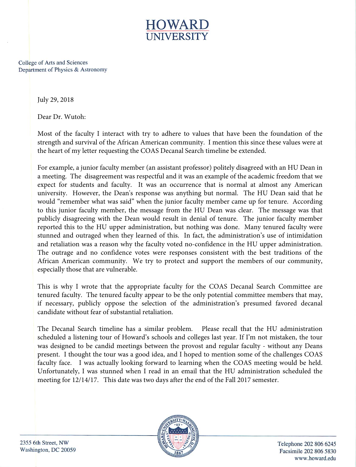

College of Arts and Sciences Department of Physics & Astronomy

July 29, 2018

Dear Dr. Wutoh:

Most of the faculty I interact with try to adhere to values that have been the foundation of the strength and survival of the African American community. I mention this since these values were at the heart of my letter requesting the COAS Decanal Search timeline be extended.

For example, a junior faculty member (an assistant professor) politely disagreed with an HU Dean in a meeting. The disagreement was respectful and it was an example of the academic freedom that we expect for students and faculty. It was an occurrence that is normal at almost any American university. However, the Dean's response was anything but normal. The HU Dean said that he would "remember what was said" when the junior faculty member came up for tenure. According to this junior faculty member, the message from the HU Dean was clear. The message was that publicly disagreeing with the Dean would result in denial of tenure. The junior faculty member reported this to the HU upper administration, but nothing was done. Many tenured faculty were stunned and outraged when they learned of this. In fact, the administration's use of intimidation and retaliation was a reason why the faculty voted no-confidence in the HU upper administration. The outrage and no confidence votes were responses consistent with the best traditions of the African American community. We try to protect and support the members of our community, especially those that are vulnerable.

This is why I wrote that the appropriate faculty for the COAS Decanal Search Committee are tenured faculty. The tenured faculty appear to be the only potential committee members that may, if necessary, publicly oppose the selection of the administration's presumed favored decanal candidate without fear of substantial retaliation.

The Decanal Search timeline has a similar problem. Please recall that the HU administration scheduled a listening tour of Howard's schools and colleges last year. If I'm not mistaken, the tour was designed to be candid meetings between the provost and regular faculty - without any Deans present. I thought the tour was a good idea, and I hoped to mention some of the challenges COAS faculty face. I was actually looking forward to learning when the COAS meeting would be held. Unfortunately, I was stunned when I read in an email that the HU administration scheduled the meeting for 12/14/17. This date was two days after the end of the Fall 2017 semester.